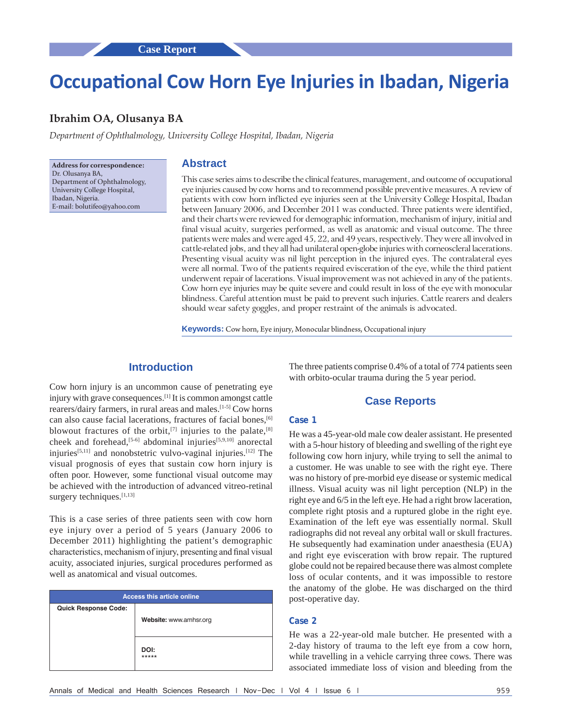# **Occupational Cow Horn Eye Injuries in Ibadan, Nigeria**

# **Ibrahim OA, Olusanya BA**

*Department of Ophthalmology, University College Hospital, Ibadan, Nigeria*

**Address for correspondence:** Dr. Olusanya BA, Department of Ophthalmology, University College Hospital, Ibadan, Nigeria. E‑mail: bolutifeo@yahoo.com

# **Abstract**

This case series aims to describe the clinical features, management, and outcome of occupational eye injuries caused by cow horns and to recommend possible preventive measures. A review of patients with cow horn inflicted eye injuries seen at the University College Hospital, Ibadan between January 2006, and December 2011 was conducted. Three patients were identified, and their charts were reviewed for demographic information, mechanism of injury, initial and final visual acuity, surgeries performed, as well as anatomic and visual outcome. The three patients were males and were aged 45, 22, and 49 years, respectively. They were all involved in cattle‑related jobs, and they all had unilateral open‑globe injuries with corneoscleral lacerations. Presenting visual acuity was nil light perception in the injured eyes. The contralateral eyes were all normal. Two of the patients required evisceration of the eye, while the third patient underwent repair of lacerations. Visual improvement was not achieved in any of the patients. Cow horn eye injuries may be quite severe and could result in loss of the eye with monocular blindness. Careful attention must be paid to prevent such injuries. Cattle rearers and dealers should wear safety goggles, and proper restraint of the animals is advocated.

**Keywords:** Cow horn, Eye injury, Monocular blindness, Occupational injury

## **Introduction**

Cow horn injury is an uncommon cause of penetrating eye injury with grave consequences.[1] It is common amongst cattle rearers/dairy farmers, in rural areas and males.[1-5] Cow horns can also cause facial lacerations, fractures of facial bones,<sup>[6]</sup> blowout fractures of the orbit,<sup>[7]</sup> injuries to the palate,<sup>[8]</sup> cheek and forehead,<sup>[5-6]</sup> abdominal injuries<sup>[5,9,10]</sup> anorectal injuries<sup>[5,11]</sup> and nonobstetric vulvo-vaginal injuries.<sup>[12]</sup> The visual prognosis of eyes that sustain cow horn injury is often poor. However, some functional visual outcome may be achieved with the introduction of advanced vitreo-retinal surgery techniques.<sup>[1,13]</sup>

This is a case series of three patients seen with cow horn eye injury over a period of 5 years (January 2006 to December 2011) highlighting the patient's demographic characteristics, mechanism of injury, presenting and final visual acuity, associated injuries, surgical procedures performed as well as anatomical and visual outcomes.

| <b>Access this article online</b> |                        |
|-----------------------------------|------------------------|
| <b>Quick Response Code:</b>       |                        |
|                                   | Website: www.amhsr.org |
|                                   |                        |
|                                   |                        |
|                                   | DOI:<br>*****          |
|                                   |                        |

The three patients comprise 0.4% of a total of 774 patients seen with orbito-ocular trauma during the 5 year period.

#### **Case Reports**

#### **Case 1**

He was a 45-year-old male cow dealer assistant. He presented with a 5-hour history of bleeding and swelling of the right eye following cow horn injury, while trying to sell the animal to a customer. He was unable to see with the right eye. There was no history of pre-morbid eye disease or systemic medical illness. Visual acuity was nil light perception (NLP) in the right eye and 6/5 in the left eye. He had a right brow laceration, complete right ptosis and a ruptured globe in the right eye. Examination of the left eye was essentially normal. Skull radiographs did not reveal any orbital wall or skull fractures. He subsequently had examination under anaesthesia (EUA) and right eye evisceration with brow repair. The ruptured globe could not be repaired because there was almost complete loss of ocular contents, and it was impossible to restore the anatomy of the globe. He was discharged on the third post-operative day.

#### **Case 2**

He was a 22-year-old male butcher. He presented with a 2-day history of trauma to the left eye from a cow horn, while travelling in a vehicle carrying three cows. There was associated immediate loss of vision and bleeding from the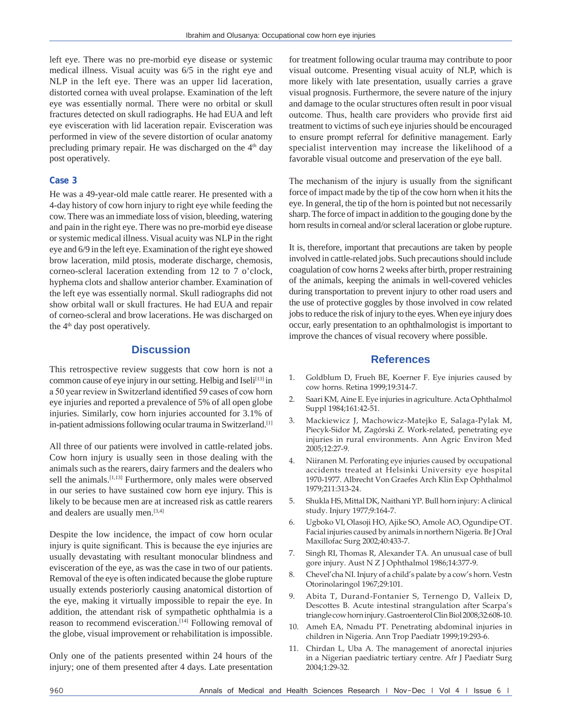left eye. There was no pre-morbid eye disease or systemic medical illness. Visual acuity was 6/5 in the right eye and NLP in the left eye. There was an upper lid laceration, distorted cornea with uveal prolapse. Examination of the left eye was essentially normal. There were no orbital or skull fractures detected on skull radiographs. He had EUA and left eye evisceration with lid laceration repair. Evisceration was performed in view of the severe distortion of ocular anatomy precluding primary repair. He was discharged on the 4<sup>th</sup> day post operatively.

### **Case 3**

He was a 49-year-old male cattle rearer. He presented with a 4-day history of cow horn injury to right eye while feeding the cow. There was an immediate loss of vision, bleeding, watering and pain in the right eye. There was no pre-morbid eye disease or systemic medical illness. Visual acuity was NLP in the right eye and 6/9 in the left eye. Examination of the right eye showed brow laceration, mild ptosis, moderate discharge, chemosis, corneo-scleral laceration extending from 12 to 7 o'clock, hyphema clots and shallow anterior chamber. Examination of the left eye was essentially normal. Skull radiographs did not show orbital wall or skull fractures. He had EUA and repair of corneo-scleral and brow lacerations. He was discharged on the 4<sup>th</sup> day post operatively.

## **Discussion**

This retrospective review suggests that cow horn is not a common cause of eye injury in our setting. Helbig and Iseli<sup>[13]</sup> in a 50 year review in Switzerland identified 59 cases of cow horn eye injuries and reported a prevalence of 5% of all open globe injuries. Similarly, cow horn injuries accounted for 3.1% of in-patient admissions following ocular trauma in Switzerland.[1]

All three of our patients were involved in cattle-related jobs. Cow horn injury is usually seen in those dealing with the animals such as the rearers, dairy farmers and the dealers who sell the animals.<sup>[1,13]</sup> Furthermore, only males were observed in our series to have sustained cow horn eye injury. This is likely to be because men are at increased risk as cattle rearers and dealers are usually men.<sup>[3,4]</sup>

Despite the low incidence, the impact of cow horn ocular injury is quite significant. This is because the eye injuries are usually devastating with resultant monocular blindness and evisceration of the eye, as was the case in two of our patients. Removal of the eye is often indicated because the globe rupture usually extends posteriorly causing anatomical distortion of the eye, making it virtually impossible to repair the eye. In addition, the attendant risk of sympathetic ophthalmia is a reason to recommend evisceration.<sup>[14]</sup> Following removal of the globe, visual improvement or rehabilitation is impossible.

Only one of the patients presented within 24 hours of the injury; one of them presented after 4 days. Late presentation for treatment following ocular trauma may contribute to poor visual outcome. Presenting visual acuity of NLP, which is more likely with late presentation, usually carries a grave visual prognosis. Furthermore, the severe nature of the injury and damage to the ocular structures often result in poor visual outcome. Thus, health care providers who provide first aid treatment to victims of such eye injuries should be encouraged to ensure prompt referral for definitive management. Early specialist intervention may increase the likelihood of a favorable visual outcome and preservation of the eye ball.

The mechanism of the injury is usually from the significant force of impact made by the tip of the cow horn when it hits the eye. In general, the tip of the horn is pointed but not necessarily sharp. The force of impact in addition to the gouging done by the horn results in corneal and/or scleral laceration or globe rupture.

It is, therefore, important that precautions are taken by people involved in cattle-related jobs. Such precautions should include coagulation of cow horns 2 weeks after birth, proper restraining of the animals, keeping the animals in well-covered vehicles during transportation to prevent injury to other road users and the use of protective goggles by those involved in cow related jobs to reduce the risk of injury to the eyes. When eye injury does occur, early presentation to an ophthalmologist is important to improve the chances of visual recovery where possible.

## **References**

- 1. Goldblum D, Frueh BE, Koerner F. Eye injuries caused by cow horns. Retina 1999;19:314‑7.
- 2. Saari KM, Aine E. Eye injuries in agriculture. Acta Ophthalmol Suppl 1984;161:42-51.
- 3. Mackiewicz J, Machowicz‑Matejko E, Salaga‑Pylak M, Piecyk‑Sidor M, Zagórski Z. Work‑related, penetrating eye injuries in rural environments. Ann Agric Environ Med 2005;12:27‑9.
- 4. Niiranen M. Perforating eye injuries caused by occupational accidents treated at Helsinki University eye hospital 1970‑1977. Albrecht Von Graefes Arch Klin Exp Ophthalmol 1979;211:313‑24.
- 5. Shukla HS, Mittal DK, NaithaniYP. Bull horn injury: A clinical study. Injury 1977;9:164‑7.
- 6. Ugboko VI, Olasoji HO, Ajike SO, Amole AO, Ogundipe OT. Facial injuries caused by animals in northern Nigeria. Br J Oral Maxillofac Surg 2002;40:433‑7.
- 7. Singh RI, Thomas R, Alexander TA. An unusual case of bull gore injury. Aust N Z J Ophthalmol 1986;14:377‑9.
- 8. Chevel'cha NI. Injury of a child's palate by a cow's horn. Vestn Otorinolaringol 1967;29:101.
- 9. Abita T, Durand-Fontanier S, Ternengo D, Valleix D, Descottes B. Acute intestinal strangulation after Scarpa's triangle cow horn injury. Gastroenterol Clin Biol 2008;32:608‑10.
- 10. Ameh EA, Nmadu PT. Penetrating abdominal injuries in children in Nigeria. Ann Trop Paediatr 1999;19:293‑6.
- 11. Chirdan L, Uba A. The management of anorectal injuries in a Nigerian paediatric tertiary centre. Afr J Paediatr Surg 2004;1:29‑32.